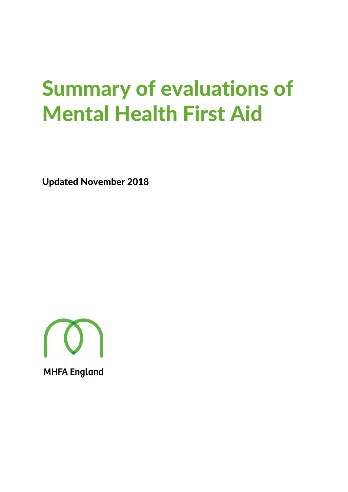# Summary of evaluations of Mental Health First Aid

Updated November 2018

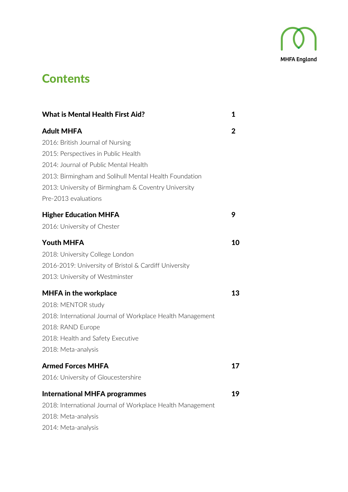

### **Contents**

| <b>What is Mental Health First Aid?</b>                    | 1  |
|------------------------------------------------------------|----|
| Adult MHFA                                                 | 2  |
| 2016: British Journal of Nursing                           |    |
| 2015: Perspectives in Public Health                        |    |
| 2014: Journal of Public Mental Health                      |    |
| 2013: Birmingham and Solihull Mental Health Foundation     |    |
| 2013: University of Birmingham & Coventry University       |    |
| Pre-2013 evaluations                                       |    |
| <b>Higher Education MHFA</b>                               | 9  |
| 2016: University of Chester                                |    |
| Youth MHFA                                                 | 10 |
| 2018: University College London                            |    |
| 2016-2019: University of Bristol & Cardiff University      |    |
| 2013: University of Westminster                            |    |
| <b>MHFA in the workplace</b>                               | 13 |
| 2018: MENTOR study                                         |    |
| 2018: International Journal of Workplace Health Management |    |
| 2018: RAND Europe                                          |    |
| 2018: Health and Safety Executive                          |    |
| 2018: Meta-analysis                                        |    |
| <b>Armed Forces MHFA</b>                                   | 17 |
| 2016: University of Gloucestershire                        |    |
| <b>International MHFA programmes</b>                       | 19 |
| 2018: International Journal of Workplace Health Management |    |
| 2018: Meta-analysis                                        |    |
| 2014: Meta-analysis                                        |    |
|                                                            |    |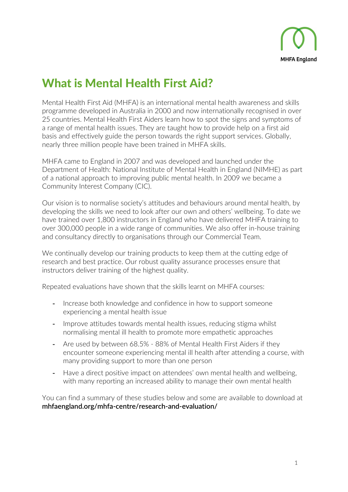

# What is Mental Health First Aid?

Mental Health First Aid (MHFA) is an international mental health awareness and skills programme developed in Australia in 2000 and now internationally recognised in over 25 countries. Mental Health First Aiders learn how to spot the signs and symptoms of a range of mental health issues. They are taught how to provide help on a first aid basis and effectively guide the person towards the right support services. Globally, nearly three million people have been trained in MHFA skills.

MHFA came to England in 2007 and was developed and launched under the Department of Health: National Institute of Mental Health in England (NIMHE) as part of a national approach to improving public mental health. In 2009 we became a Community Interest Company (CIC).

Our vision is to normalise society's attitudes and behaviours around mental health, by developing the skills we need to look after our own and others' wellbeing. To date we have trained over 1,800 instructors in England who have delivered MHFA training to over 300,000 people in a wide range of communities. We also offer in-house training and consultancy directly to organisations through our Commercial Team.

We continually develop our training products to keep them at the cutting edge of research and best practice. Our robust quality assurance processes ensure that instructors deliver training of the highest quality.

Repeated evaluations have shown that the skills learnt on MHFA courses:

- Increase both knowledge and confidence in how to support someone experiencing a mental health issue
- Improve attitudes towards mental health issues, reducing stigma whilst normalising mental ill health to promote more empathetic approaches
- Are used by between 68.5% 88% of Mental Health First Aiders if they encounter someone experiencing mental ill health after attending a course, with many providing support to more than one person
- Have a direct positive impact on attendees' own mental health and wellbeing, with many reporting an increased ability to manage their own mental health

You can find a summary of these studies below and some are available to download at **[mhfaengland.org/mhfa-centre/research-and-evaluation/](http://www.mhfaengland.org/mhfa-centre/research-and-evaluation/)**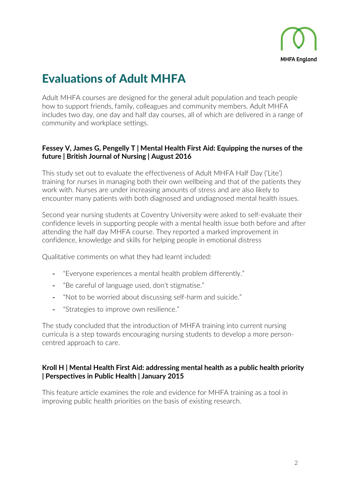

# Evaluations of Adult MHFA

Adult MHFA courses are designed for the general adult population and teach people how to support friends, family, colleagues and community members. Adult MHFA includes two day, one day and half day courses, all of which are delivered in a range of community and workplace settings.

### **Fessey V, James G, Pengelly T | [Mental Health First Aid: Equipping the nurses of the](http://www.magonlinelibrary.com/doi/10.12968/bjon.2016.25.15.858)  [future](http://www.magonlinelibrary.com/doi/10.12968/bjon.2016.25.15.858) | British Journal of Nursing | August 2016**

This study set out to evaluate the effectiveness of Adult MHFA Half Day ('Lite') training for nurses in managing both their own wellbeing and that of the patients they work with. Nurses are under increasing amounts of stress and are also likely to encounter many patients with both diagnosed and undiagnosed mental health issues.

Second year nursing students at Coventry University were asked to self-evaluate their confidence levels in supporting people with a mental health issue both before and after attending the half day MHFA course. They reported a marked improvement in confidence, knowledge and skills for helping people in emotional distress

Qualitative comments on what they had learnt included:

- "Everyone experiences a mental health problem differently."
- "Be careful of language used, don't stigmatise."
- "Not to be worried about discussing self-harm and suicide."
- "Strategies to improve own resilience."

The study concluded that the introduction of MHFA training into current nursing curricula is a step towards encouraging nursing students to develop a more personcentred approach to care.

### **Kroll H | [Mental Health First Aid: addressing mental health as a public health priority](http://rsh.sagepub.com/content/135/1/12.full) | Perspectives in Public Health | January 2015**

This feature article examines the role and evidence for MHFA training as a tool in improving public health priorities on the basis of existing research.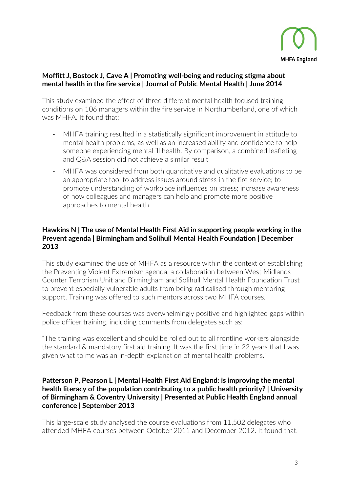

### **Moffitt J, Bostock J, Cave A | [Promoting well-being and reducing stigma about](http://www.emeraldinsight.com/doi/abs/10.1108/JPMH-02-2013-0004?mobileUi=0&)  [mental health in the fire service](http://www.emeraldinsight.com/doi/abs/10.1108/JPMH-02-2013-0004?mobileUi=0&) | Journal of Public Mental Health | June 2014**

This study examined the effect of three different mental health focused training conditions on 106 managers within the fire service in Northumberland, one of which was MHFA. It found that:

- MHFA training resulted in a statistically significant improvement in attitude to mental health problems, as well as an increased ability and confidence to help someone experiencing mental ill health. By comparison, a combined leafleting and Q&A session did not achieve a similar result
- MHFA was considered from both quantitative and qualitative evaluations to be an appropriate tool to address issues around stress in the fire service; to promote understanding of workplace influences on stress; increase awareness of how colleagues and managers can help and promote more positive approaches to mental health

### **Hawkins N | [The use of Mental Health First Aid in supporting people working in the](https://mhfaengland.org/mhfa-centre/research-and-evaluation/bsmhft-and-counter-terrorism-unit-mhfa-course-feedback/)  [Prevent agenda](https://mhfaengland.org/mhfa-centre/research-and-evaluation/bsmhft-and-counter-terrorism-unit-mhfa-course-feedback/) | Birmingham and Solihull Mental Health Foundation | December 2013**

This study examined the use of MHFA as a resource within the context of establishing the Preventing Violent Extremism agenda, a collaboration between West Midlands Counter Terrorism Unit and Birmingham and Solihull Mental Health Foundation Trust to prevent especially vulnerable adults from being radicalised through mentoring support. Training was offered to such mentors across two MHFA courses.

Feedback from these courses was overwhelmingly positive and highlighted gaps within police officer training, including comments from delegates such as:

"The training was excellent and should be rolled out to all frontline workers alongside the standard & mandatory first aid training. It was the first time in 22 years that I was given what to me was an in-depth explanation of mental health problems."

### **Patterson P, Pearson L | [Mental Health First Aid England: is improving the mental](https://mhfaengland.org/mhfa-centre/research-and-evaluation/birmingham-and-coventry-uni-mhfa-course-evaluations-summary/)  [health literacy of the population contributing to a public health priority?](https://mhfaengland.org/mhfa-centre/research-and-evaluation/birmingham-and-coventry-uni-mhfa-course-evaluations-summary/) | University of Birmingham & Coventry University | Presented at Public Health England annual conference | September 2013**

This large-scale study analysed the course evaluations from 11,502 delegates who attended MHFA courses between October 2011 and December 2012. It found that: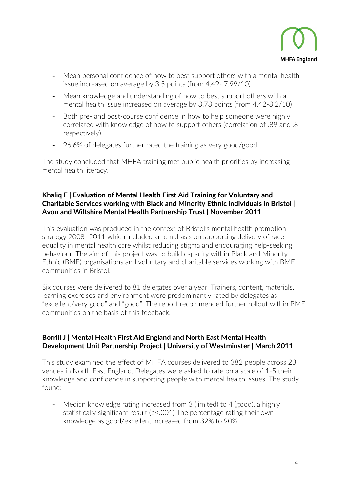

- Mean personal confidence of how to best support others with a mental health issue increased on average by 3.5 points (from 4.49- 7.99/10)
- Mean knowledge and understanding of how to best support others with a mental health issue increased on average by 3.78 points (from 4.42-8.2/10)
- Both pre- and post-course confidence in how to help someone were highly correlated with knowledge of how to support others (correlation of .89 and .8 respectively)
- 96.6% of delegates further rated the training as very good/good

The study concluded that MHFA training met public health priorities by increasing mental health literacy.

### **Khaliq F | [Evaluation of Mental Health First Aid Training for Voluntary and](https://mhfaengland.org/mhfa-centre/research-and-evaluation/nhs-report-bristol-mhfa-training-bme-communities/)  [Charitable Services working with Black and Minority](https://mhfaengland.org/mhfa-centre/research-and-evaluation/nhs-report-bristol-mhfa-training-bme-communities/) Ethnic individuals in Bristol | [Avon and Wiltshire Mental Health Partnership Trust](https://mhfaengland.org/mhfa-centre/research-and-evaluation/nhs-report-bristol-mhfa-training-bme-communities/) | November 2011**

This evaluation was produced in the context of Bristol's mental health promotion strategy 2008- 2011 which included an emphasis on supporting delivery of race equality in mental health care whilst reducing stigma and encouraging help-seeking behaviour. The aim of this project was to build capacity within Black and Minority Ethnic (BME) organisations and voluntary and charitable services working with BME communities in Bristol.

Six courses were delivered to 81 delegates over a year. Trainers, content, materials, learning exercises and environment were predominantly rated by delegates as "excellent/very good" and "good". The report recommended further rollout within BME communities on the basis of this feedback.

### **Borrill J | [Mental Health First Aid England and North East Mental Health](https://mhfaengland.org/mhfa-centre/research-and-evaluation/mental-health-first-aid-north-east-england/)  [Development Unit Partnership Project](https://mhfaengland.org/mhfa-centre/research-and-evaluation/mental-health-first-aid-north-east-england/) | University of Westminster | March 2011**

This study examined the effect of MHFA courses delivered to 382 people across 23 venues in North East England. Delegates were asked to rate on a scale of 1-5 their knowledge and confidence in supporting people with mental health issues. The study found:

- Median knowledge rating increased from 3 (limited) to 4 (good), a highly statistically significant result (p<.001) The percentage rating their own knowledge as good/excellent increased from 32% to 90%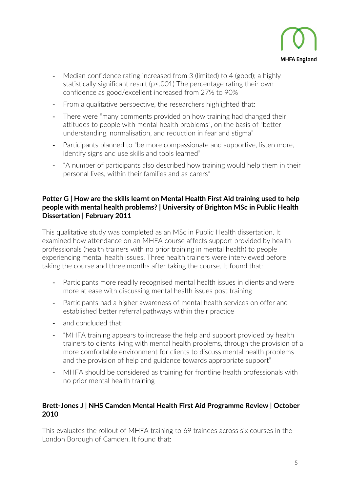

- Median confidence rating increased from 3 (limited) to 4 (good); a highly statistically significant result (p<.001) The percentage rating their own confidence as good/excellent increased from 27% to 90%
- From a qualitative perspective, the researchers highlighted that:
- There were "many comments provided on how training had changed their attitudes to people with mental health problems", on the basis of "better understanding, normalisation, and reduction in fear and stigma"
- Participants planned to "be more compassionate and supportive, listen more, identify signs and use skills and tools learned"
- "A number of participants also described how training would help them in their personal lives, within their families and as carers"

### **Potter G | [How are the skills learnt on Mental Health First Aid training used to help](https://mhfaengland.org/mhfa-centre/research-and-evaluation/understanding-how-skills-learnt-mhfa-course-are-applied/)  [people with mental health problems?](https://mhfaengland.org/mhfa-centre/research-and-evaluation/understanding-how-skills-learnt-mhfa-course-are-applied/) | University of Brighton MSc in Public Health Dissertation | February 2011**

This qualitative study was completed as an MSc in Public Health dissertation. It examined how attendance on an MHFA course affects support provided by health professionals (health trainers with no prior training in mental health) to people experiencing mental health issues. Three health trainers were interviewed before taking the course and three months after taking the course. It found that:

- Participants more readily recognised mental health issues in clients and were more at ease with discussing mental health issues post training
- Participants had a higher awareness of mental health services on offer and established better referral pathways within their practice
- and concluded that:
- "MHFA training appears to increase the help and support provided by health trainers to clients living with mental health problems, through the provision of a more comfortable environment for clients to discuss mental health problems and the provision of help and guidance towards appropriate support"
- MHFA should be considered as training for frontline health professionals with no prior mental health training

### **Brett-Jones J | [NHS Camden Mental Health First Aid Programme Review](https://mhfaengland.org/mhfa-centre/research-and-evaluation/nhs-camden-review/) | October 2010**

This evaluates the rollout of MHFA training to 69 trainees across six courses in the London Borough of Camden. It found that: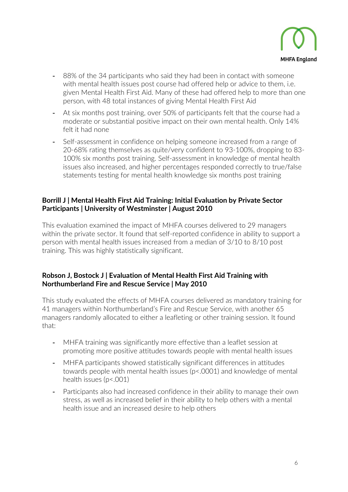

- 88% of the 34 participants who said they had been in contact with someone with mental health issues post course had offered help or advice to them, i.e. given Mental Health First Aid. Many of these had offered help to more than one person, with 48 total instances of giving Mental Health First Aid
- At six months post training, over 50% of participants felt that the course had a moderate or substantial positive impact on their own mental health. Only 14% felt it had none
- Self-assessment in confidence on helping someone increased from a range of 20-68% rating themselves as quite/very confident to 93-100%, dropping to 83- 100% six months post training. Self-assessment in knowledge of mental health issues also increased, and higher percentages responded correctly to true/false statements testing for mental health knowledge six months post training

### **Borrill J | [Mental Health First Aid Training: Initial Evaluation by Private Sector](https://mhfaengland.org/mhfa-centre/research-and-evaluation/university-westminsternbspprivate-sector-evaluation/)  [Participants](https://mhfaengland.org/mhfa-centre/research-and-evaluation/university-westminsternbspprivate-sector-evaluation/) | University of Westminster | August 2010**

This evaluation examined the impact of MHFA courses delivered to 29 managers within the private sector. It found that self-reported confidence in ability to support a person with mental health issues increased from a median of 3/10 to 8/10 post training. This was highly statistically significant.

### **Robson J, Bostock J | [Evaluation of Mental Health First Aid Training with](https://mhfaengland.org/mhfa-centre/research-and-evaluation/northumberland-fire-and-rescue/)  [Northumberland Fire and Rescue Service](https://mhfaengland.org/mhfa-centre/research-and-evaluation/northumberland-fire-and-rescue/) | May 2010**

This study evaluated the effects of MHFA courses delivered as mandatory training for 41 managers within Northumberland's Fire and Rescue Service, with another 65 managers randomly allocated to either a leafleting or other training session. It found that:

- MHFA training was significantly more effective than a leaflet session at promoting more positive attitudes towards people with mental health issues
- MHFA participants showed statistically significant differences in attitudes towards people with mental health issues (p<.0001) and knowledge of mental health issues (p<.001)
- Participants also had increased confidence in their ability to manage their own stress, as well as increased belief in their ability to help others with a mental health issue and an increased desire to help others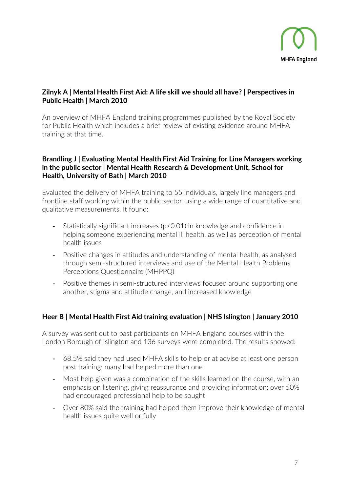

### **Zilnyk A | [Mental Health First Aid: A life skill we should all have?](https://mhfaengland.org/mhfa-centre/research-and-evaluation/perspectives-public-health-publication/) | Perspectives in Public Health | March 2010**

An overview of MHFA England training programmes published by the Royal Society for Public Health which includes a brief review of existing evidence around MHFA training at that time.

### **Brandling J | [Evaluating Mental Health First Aid Training for Line Managers working](https://mhfaengland.org/mhfa-centre/research-and-evaluation/university-bath-school-health/)  [in the public sector](https://mhfaengland.org/mhfa-centre/research-and-evaluation/university-bath-school-health/) | Mental Health Research & Development Unit, School for Health, University of Bath | March 2010**

Evaluated the delivery of MHFA training to 55 individuals, largely line managers and frontline staff working within the public sector, using a wide range of quantitative and qualitative measurements. It found:

- Statistically significant increases (p<0.01) in knowledge and confidence in helping someone experiencing mental ill health, as well as perception of mental health issues
- Positive changes in attitudes and understanding of mental health, as analysed through semi-structured interviews and use of the Mental Health Problems Perceptions Questionnaire (MHPPQ)
- Positive themes in semi-structured interviews focused around supporting one another, stigma and attitude change, and increased knowledge

### **Heer B | [Mental Health First Aid training evaluation](https://mhfaengland.org/mhfa-centre/research-and-evaluation/nhs-islington/) | NHS Islington | January 2010**

A survey was sent out to past participants on MHFA England courses within the London Borough of Islington and 136 surveys were completed. The results showed:

- 68.5% said they had used MHFA skills to help or at advise at least one person post training; many had helped more than one
- Most help given was a combination of the skills learned on the course, with an emphasis on listening, giving reassurance and providing information; over 50% had encouraged professional help to be sought
- Over 80% said the training had helped them improve their knowledge of mental health issues quite well or fully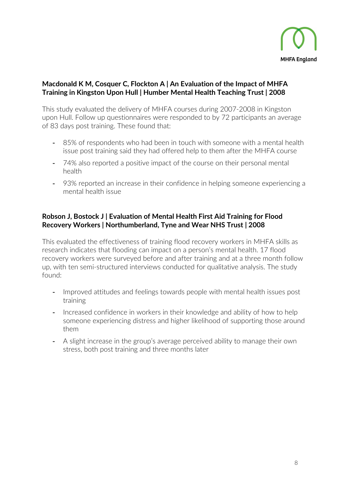

### **Macdonald K M, Cosquer C, Flockton A | [An Evaluation of the Impact of MHFA](https://mhfaengland.org/mhfa-centre/research-and-evaluation/mental-health-first-aid-hull/)  [Training in Kingston Upon Hull](https://mhfaengland.org/mhfa-centre/research-and-evaluation/mental-health-first-aid-hull/) | Humber Mental Health Teaching Trust | 2008**

This study evaluated the delivery of MHFA courses during 2007-2008 in Kingston upon Hull. Follow up questionnaires were responded to by 72 participants an average of 83 days post training. These found that:

- 85% of respondents who had been in touch with someone with a mental health issue post training said they had offered help to them after the MHFA course
- 74% also reported a positive impact of the course on their personal mental health
- 93% reported an increase in their confidence in helping someone experiencing a mental health issue

### **Robson J, Bostock J | [Evaluation of Mental Health First Aid Training for Flood](https://mhfaengland.org/mhfa-centre/research-and-evaluation/northumberland-evaluation-mhfa-training-flood-recovery-workers/)  [Recovery Workers](https://mhfaengland.org/mhfa-centre/research-and-evaluation/northumberland-evaluation-mhfa-training-flood-recovery-workers/) | Northumberland, Tyne and Wear NHS Trust | 2008**

This evaluated the effectiveness of training flood recovery workers in MHFA skills as research indicates that flooding can impact on a person's mental health. 17 flood recovery workers were surveyed before and after training and at a three month follow up, with ten semi-structured interviews conducted for qualitative analysis. The study found:

- Improved attitudes and feelings towards people with mental health issues post training
- Increased confidence in workers in their knowledge and ability of how to help someone experiencing distress and higher likelihood of supporting those around them
- <span id="page-9-0"></span>- A slight increase in the group's average perceived ability to manage their own stress, both post training and three months later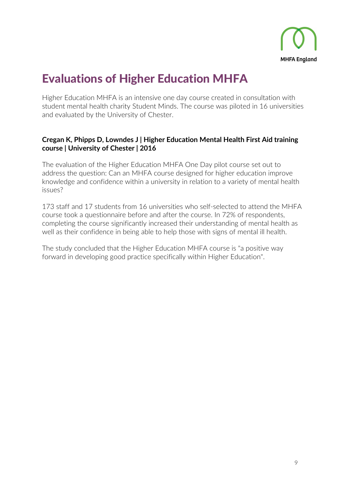

### Evaluations of Higher Education MHFA

Higher Education MHFA is an intensive one day course created in consultation with student mental health charity Student Minds. The course was piloted in 16 universities and evaluated by the University of Chester.

### **Cregan K, Phipps D, Lowndes J | Higher Education Mental Health First Aid training course | University of Chester | 2016**

The evaluation of the Higher Education MHFA One Day pilot course set out to address the question: Can an MHFA course designed for higher education improve knowledge and confidence within a university in relation to a variety of mental health issues?

173 staff and 17 students from 16 universities who self-selected to attend the MHFA course took a questionnaire before and after the course. In 72% of respondents, completing the course significantly increased their understanding of mental health as well as their confidence in being able to help those with signs of mental ill health.

The study concluded that the Higher Education MHFA course is "a positive way forward in developing good practice specifically within Higher Education".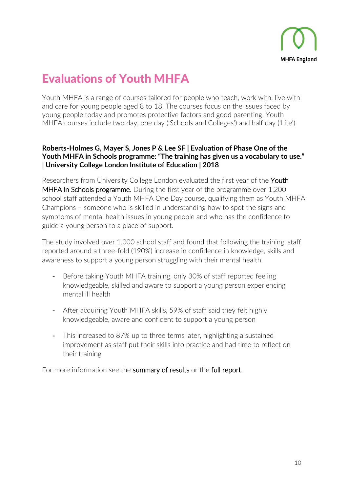

# Evaluations of Youth MHFA

Youth MHFA is a range of courses tailored for people who teach, work with, live with and care for young people aged 8 to 18. The courses focus on the issues faced by young people today and promotes protective factors and good parenting. Youth MHFA courses include two day, one day ('Schools and Colleges') and half day ('Lite').

### **[Roberts-Holmes G, Mayer S, Jones P & Lee SF | Evaluation of Phase One of the](http://mhfaengland.org/youth-mhfa-in-schools-UCL-report)  [Youth MHFA in Schools programme: "The training has given us a vocabulary to use."](http://mhfaengland.org/youth-mhfa-in-schools-UCL-report)  [| University College London Institute of Education | 2018](http://mhfaengland.org/youth-mhfa-in-schools-UCL-report)**

Researchers from University College London evaluated the first year of the Youth [MHFA in Schools programme.](https://mhfaengland.org/mhfa-centre/programmes/national-schools-programme/) During the first year of the programme over 1,200 school staff attended a Youth MHFA One Day course, qualifying them as Youth MHFA Champions – someone who is skilled in understanding how to spot the signs and symptoms of mental health issues in young people and who has the confidence to guide a young person to a place of support.

The study involved over 1,000 school staff and found that following the training, staff reported around a three-fold (190%) increase in confidence in knowledge, skills and awareness to support a young person struggling with their mental health.

- Before taking Youth MHFA training, only 30% of staff reported feeling knowledgeable, skilled and aware to support a young person experiencing mental ill health
- After acquiring Youth MHFA skills, 59% of staff said they felt highly knowledgeable, aware and confident to support a young person
- This increased to 87% up to three terms later, highlighting a sustained improvement as staff put their skills into practice and had time to reflect on their training

For more information see the [summary of results](https://www.mhfaengland.org/ucl-summary) or the [full report.](http://mhfaengland.org/youth-mhfa-in-schools-UCL-report)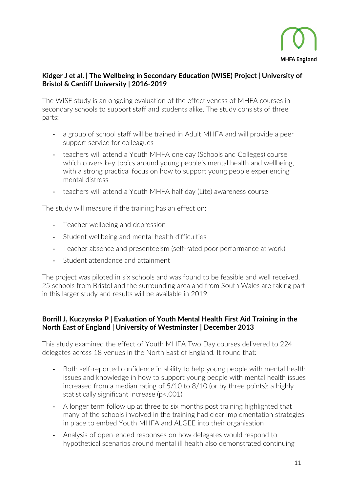

### **Kidger J et al. | [The Wellbeing in Secondary Education \(WISE\) Project](http://www.bris.ac.uk/social-community-medicine/projects/wise/) | University of Bristol & Cardiff University | 2016-2019**

The WISE study is an ongoing evaluation of the effectiveness of MHFA courses in secondary schools to support staff and students alike. The study consists of three parts:

- a group of school staff will be trained in Adult MHFA and will provide a peer support service for colleagues
- teachers will attend a Youth MHFA one day (Schools and Colleges) course which covers key topics around young people's mental health and wellbeing, with a strong practical focus on how to support young people experiencing mental distress
- teachers will attend a Youth MHFA half day (Lite) awareness course

The study will measure if the training has an effect on:

- Teacher wellbeing and depression
- Student wellbeing and mental health difficulties
- Teacher absence and presenteeism (self-rated poor performance at work)
- Student attendance and attainment

The project was piloted in six schools and was found to be feasible and well received. 25 schools from Bristol and the surrounding area and from South Wales are taking part in this larger study and results will be available in 2019.

### **Borrill J, Kuczynska P | [Evaluation of Youth Mental Health First Aid Training in the](https://mhfaengland.org/mhfa-centre/research-and-evaluation/ne-england-youth-mhfa-evaluation/)  [North East of England](https://mhfaengland.org/mhfa-centre/research-and-evaluation/ne-england-youth-mhfa-evaluation/) | University of Westminster | December 2013**

This study examined the effect of Youth MHFA Two Day courses delivered to 224 delegates across 18 venues in the North East of England. It found that:

- Both self-reported confidence in ability to help young people with mental health issues and knowledge in how to support young people with mental health issues increased from a median rating of 5/10 to 8/10 (or by three points); a highly statistically significant increase (p<.001)
- A longer term follow up at three to six months post training highlighted that many of the schools involved in the training had clear implementation strategies in place to embed Youth MHFA and ALGEE into their organisation
- Analysis of open-ended responses on how delegates would respond to hypothetical scenarios around mental ill health also demonstrated continuing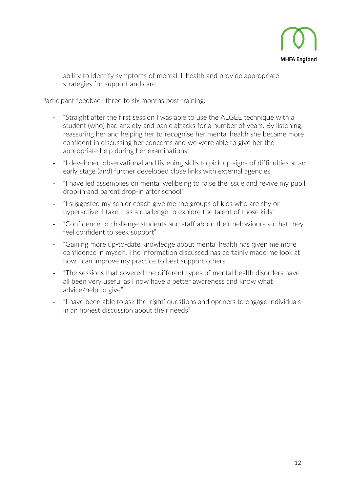

ability to identify symptoms of mental ill health and provide appropriate strategies for support and care

Participant feedback three to six months post training:

- "Straight after the first session I was able to use the ALGEE technique with a student (who) had anxiety and panic attacks for a number of years. By listening, reassuring her and helping her to recognise her mental health she became more confident in discussing her concerns and we were able to give her the appropriate help during her examinations"
- "I developed observational and listening skills to pick up signs of difficulties at an early stage (and) further developed close links with external agencies"
- "I have led assemblies on mental wellbeing to raise the issue and revive my pupil drop-in and parent drop-in after school"
- "I suggested my senior coach give me the groups of kids who are shy or hyperactive; I take it as a challenge to explore the talent of those kids"
- "Confidence to challenge students and staff about their behaviours so that they feel confident to seek support"
- "Gaining more up-to-date knowledge about mental health has given me more confidence in myself. The information discussed has certainly made me look at how I can improve my practice to best support others"
- "The sessions that covered the different types of mental health disorders have all been very useful as I now have a better awareness and know what advice/help to give"
- "I have been able to ask the 'right' questions and openers to engage individuals in an honest discussion about their needs"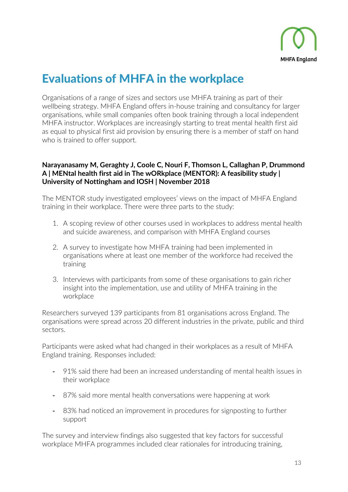

### Evaluations of MHFA in the workplace

Organisations of a range of sizes and sectors use MHFA training as part of their wellbeing strategy. MHFA England offers in-house training and consultancy for larger organisations, while small companies often book training through a local independent MHFA instructor. Workplaces are increasingly starting to treat mental health first aid as equal to physical first aid provision by ensuring there is a member of staff on hand who is trained to offer support.

### **[Narayanasamy M, Geraghty J, Coole C, Nouri F, Thomson L, Callaghan P, Drummond](https://mhfaengland.org/mhfa-centre/research-and-evaluation/mentor)  [A | MENtal health first aid in The wORkplace \(MENTOR\): A feasibility study |](https://mhfaengland.org/mhfa-centre/research-and-evaluation/mentor)  [University of Nottingham and IOSH | November 2018](https://mhfaengland.org/mhfa-centre/research-and-evaluation/mentor)**

The MENTOR study investigated employees' views on the impact of MHFA England training in their workplace. There were three parts to the study:

- 1. A scoping review of other courses used in workplaces to address mental health and suicide awareness, and comparison with MHFA England courses
- 2. A survey to investigate how MHFA training had been implemented in organisations where at least one member of the workforce had received the training
- 3. Interviews with participants from some of these organisations to gain richer insight into the implementation, use and utility of MHFA training in the workplace

Researchers surveyed 139 participants from 81 organisations across England. The organisations were spread across 20 different industries in the private, public and third sectors.

Participants were asked what had changed in their workplaces as a result of MHFA England training. Responses included:

- 91% said there had been an increased understanding of mental health issues in their workplace
- 87% said more mental health conversations were happening at work
- 83% had noticed an improvement in procedures for signposting to further support

The survey and interview findings also suggested that key factors for successful workplace MHFA programmes included clear rationales for introducing training,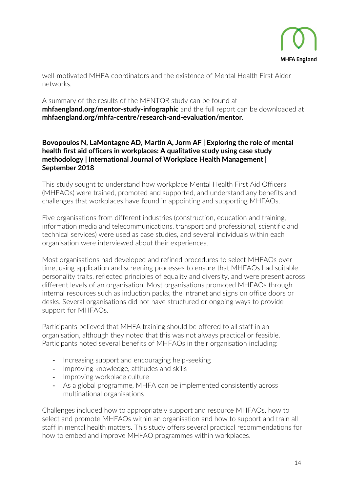

well-motivated MHFA coordinators and the existence of Mental Health First Aider networks.

A summary of the results of the MENTOR study can be found at **[mhfaengland.org/mentor-study-infographic](https://mhfaengland.org/mentor-study-infographic)** and the full report can be downloaded at **[mhfaengland.org/mhfa-centre/research-and-evaluation/mentor](https://mhfaengland.org/mhfa-centre/research-and-evaluation/mentor)**.

### **[Bovopoulos N, LaMontagne AD, Martin A, Jorm AF | Exploring the role of mental](https://www.emeraldinsight.com/doi/abs/10.1108/IJWHM-06-2018-0082)  [health first aid officers in workplaces: A qualitative study using case study](https://www.emeraldinsight.com/doi/abs/10.1108/IJWHM-06-2018-0082)  [methodology | International Journal of Workplace Health Management |](https://www.emeraldinsight.com/doi/abs/10.1108/IJWHM-06-2018-0082)  [September 2018](https://www.emeraldinsight.com/doi/abs/10.1108/IJWHM-06-2018-0082)**

This study sought to understand how workplace Mental Health First Aid Officers (MHFAOs) were trained, promoted and supported, and understand any benefits and challenges that workplaces have found in appointing and supporting MHFAOs.

Five organisations from different industries (construction, education and training, information media and telecommunications, transport and professional, scientific and technical services) were used as case studies, and several individuals within each organisation were interviewed about their experiences.

Most organisations had developed and refined procedures to select MHFAOs over time, using application and screening processes to ensure that MHFAOs had suitable personality traits, reflected principles of equality and diversity, and were present across different levels of an organisation. Most organisations promoted MHFAOs through internal resources such as induction packs, the intranet and signs on office doors or desks. Several organisations did not have structured or ongoing ways to provide support for MHFAOs.

Participants believed that MHFA training should be offered to all staff in an organisation, although they noted that this was not always practical or feasible. Participants noted several benefits of MHFAOs in their organisation including:

- Increasing support and encouraging help-seeking
- Improving knowledge, attitudes and skills
- Improving workplace culture
- As a global programme, MHFA can be implemented consistently across multinational organisations

Challenges included how to appropriately support and resource MHFAOs, how to select and promote MHFAOs within an organisation and how to support and train all staff in mental health matters. This study offers several practical recommendations for how to embed and improve MHFAO programmes within workplaces.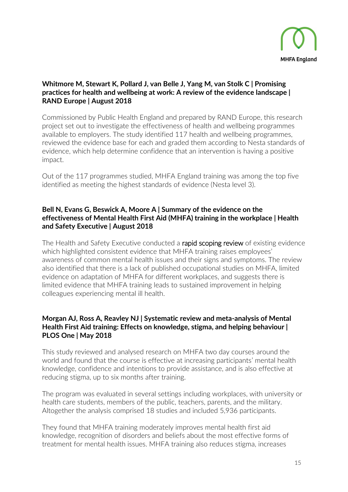

### **[Whitmore M, Stewart K, Pollard J, van Belle J, Yang M, van Stolk C | Promising](https://www.rand.org/pubs/research_reports/RR2409.html)  [practices for health and wellbeing at work: A review of the evidence landscape](https://www.rand.org/pubs/research_reports/RR2409.html) | [RAND Europe | August 2018](https://www.rand.org/pubs/research_reports/RR2409.html)**

Commissioned by Public Health England and prepared by RAND Europe, this research project set out to investigate the effectiveness of health and wellbeing programmes available to employers. The study identified 117 health and wellbeing programmes, reviewed the evidence base for each and graded them according to Nesta standards of evidence, which help determine confidence that an intervention is having a positive impact.

Out of the 117 programmes studied, MHFA England training was among the top five identified as meeting the highest standards of evidence (Nesta level 3).

### **Bell N, Evans G, Beswick A, Moore A | Summary of the evidence on the effectiveness of Mental Health First Aid (MHFA) training in the workplace | Health and Safety Executive | August 2018**

The Health and Safety Executive conducted a [rapid scoping review](http://www.hse.gov.uk/research/rrpdf/rr1135.pdf) of existing evidence which highlighted consistent evidence that MHFA training raises employees' awareness of common mental health issues and their signs and symptoms. The review also identified that there is a lack of published occupational studies on MHFA, limited evidence on adaptation of MHFA for different workplaces, and suggests there is limited evidence that MHFA training leads to sustained improvement in helping colleagues experiencing mental ill health.

### **Morgan AJ, Ross A, Reavley NJ | [Systematic review and meta-analysis of Mental](https://doi.org/10.1371/journal.pone.0197102)  [Health First Aid training: Effects on knowledge, stigma, and helping behaviour](https://doi.org/10.1371/journal.pone.0197102) | PLOS One | May 2018**

This study reviewed and analysed research on MHFA two day courses around the world and found that the course is effective at increasing participants' mental health knowledge, confidence and intentions to provide assistance, and is also effective at reducing stigma, up to six months after training.

The program was evaluated in several settings including workplaces, with university or health care students, members of the public, teachers, parents, and the military. Altogether the analysis comprised 18 studies and included 5,936 participants.

They found that MHFA training moderately improves mental health first aid knowledge, recognition of disorders and beliefs about the most effective forms of treatment for mental health issues. MHFA training also reduces stigma, increases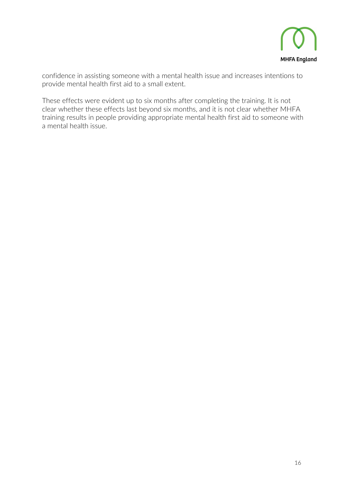

confidence in assisting someone with a mental health issue and increases intentions to provide mental health first aid to a small extent.

These effects were evident up to six months after completing the training. It is not clear whether these effects last beyond six months, and it is not clear whether MHFA training results in people providing appropriate mental health first aid to someone with a mental health issue.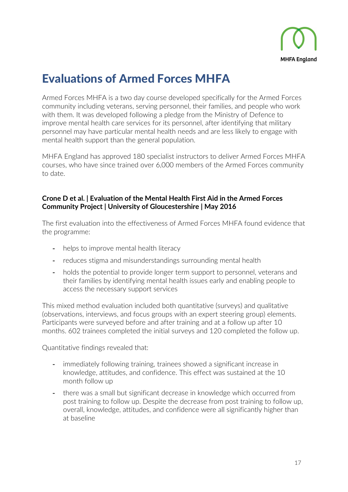

### Evaluations of Armed Forces MHFA

Armed Forces MHFA is a two day course developed specifically for the Armed Forces community including veterans, serving personnel, their families, and people who work with them. It was developed following a pledge from the Ministry of Defence to improve mental health care services for its personnel, after identifying that military personnel may have particular mental health needs and are less likely to engage with mental health support than the general population.

MHFA England has approved 180 specialist instructors to deliver Armed Forces MHFA courses, who have since trained over 6,000 members of the Armed Forces community to date.

### **Crone D et al. | [Evaluation of the Mental Health First Aid in the Armed Forces](https://mhfaengland.org/mhfa-centre/research-and-evaluation/uni-gloucestershire-armed-forces-mhfa/)  [Community Project](https://mhfaengland.org/mhfa-centre/research-and-evaluation/uni-gloucestershire-armed-forces-mhfa/) | University of Gloucestershire | May 2016**

The first evaluation into the effectiveness of Armed Forces MHFA found evidence that the programme:

- helps to improve mental health literacy
- reduces stigma and misunderstandings surrounding mental health
- holds the potential to provide longer term support to personnel, veterans and their families by identifying mental health issues early and enabling people to access the necessary support services

This mixed method evaluation included both quantitative (surveys) and qualitative (observations, interviews, and focus groups with an expert steering group) elements. Participants were surveyed before and after training and at a follow up after 10 months. 602 trainees completed the initial surveys and 120 completed the follow up.

Quantitative findings revealed that:

- immediately following training, trainees showed a significant increase in knowledge, attitudes, and confidence. This effect was sustained at the 10 month follow up
- there was a small but significant decrease in knowledge which occurred from post training to follow up. Despite the decrease from post training to follow up, overall, knowledge, attitudes, and confidence were all significantly higher than at baseline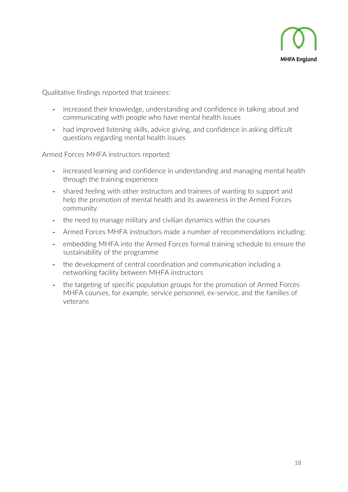

Qualitative findings reported that trainees:

- increased their knowledge, understanding and confidence in talking about and communicating with people who have mental health issues
- had improved listening skills, advice giving, and confidence in asking difficult questions regarding mental health issues

Armed Forces MHFA instructors reported:

- increased learning and confidence in understanding and managing mental health through the training experience
- shared feeling with other instructors and trainees of wanting to support and help the promotion of mental health and its awareness in the Armed Forces community
- the need to manage military and civilian dynamics within the courses
- Armed Forces MHFA instructors made a number of recommendations including:
- embedding MHFA into the Armed Forces formal training schedule to ensure the sustainability of the programme
- the development of central coordination and communication including a networking facility between MHFA instructors
- the targeting of specific population groups for the promotion of Armed Forces MHFA courses, for example, service personnel, ex-service, and the families of veterans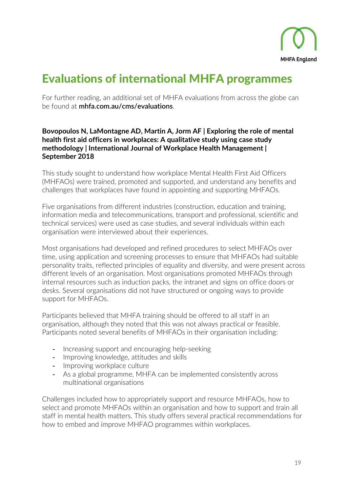

### Evaluations of international MHFA programmes

For further reading, an additional set of MHFA evaluations from across the globe can be found at **[mhfa.com.au/cms/evaluations](https://mhfa.com.au/cms/evaluations)**.

### **[Bovopoulos N, LaMontagne AD, Martin A, Jorm](https://www.emeraldinsight.com/doi/abs/10.1108/IJWHM-06-2018-0082) AF | Exploring the role of mental [health first aid officers in workplaces: A qualitative study using case study](https://www.emeraldinsight.com/doi/abs/10.1108/IJWHM-06-2018-0082)  [methodology | International Journal of Workplace Health Management |](https://www.emeraldinsight.com/doi/abs/10.1108/IJWHM-06-2018-0082)  [September 2018](https://www.emeraldinsight.com/doi/abs/10.1108/IJWHM-06-2018-0082)**

This study sought to understand how workplace Mental Health First Aid Officers (MHFAOs) were trained, promoted and supported, and understand any benefits and challenges that workplaces have found in appointing and supporting MHFAOs.

Five organisations from different industries (construction, education and training, information media and telecommunications, transport and professional, scientific and technical services) were used as case studies, and several individuals within each organisation were interviewed about their experiences.

Most organisations had developed and refined procedures to select MHFAOs over time, using application and screening processes to ensure that MHFAOs had suitable personality traits, reflected principles of equality and diversity, and were present across different levels of an organisation. Most organisations promoted MHFAOs through internal resources such as induction packs, the intranet and signs on office doors or desks. Several organisations did not have structured or ongoing ways to provide support for MHFAOs.

Participants believed that MHFA training should be offered to all staff in an organisation, although they noted that this was not always practical or feasible. Participants noted several benefits of MHFAOs in their organisation including:

- Increasing support and encouraging help-seeking
- Improving knowledge, attitudes and skills
- Improving workplace culture
- As a global programme, MHFA can be implemented consistently across multinational organisations

Challenges included how to appropriately support and resource MHFAOs, how to select and promote MHFAOs within an organisation and how to support and train all staff in mental health matters. This study offers several practical recommendations for how to embed and improve MHFAO programmes within workplaces.